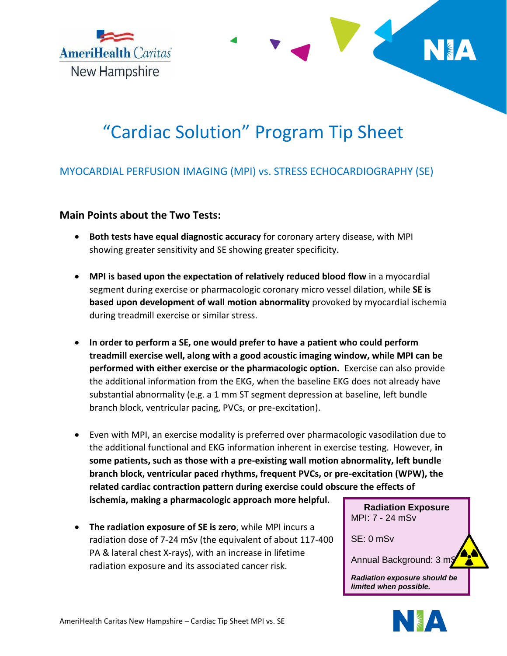



## MYOCARDIAL PERFUSION IMAGING (MPI) vs. STRESS ECHOCARDIOGRAPHY (SE)

## **Main Points about the Two Tests:**

- **Both tests have equal diagnostic accuracy** for coronary artery disease, with MPI showing greater sensitivity and SE showing greater specificity.
- **MPI is based upon the expectation of relatively reduced blood flow** in a myocardial segment during exercise or pharmacologic coronary micro vessel dilation, while **SE is based upon development of wall motion abnormality** provoked by myocardial ischemia during treadmill exercise or similar stress.
- **In order to perform a SE, one would prefer to have a patient who could perform treadmill exercise well, along with a good acoustic imaging window, while MPI can be performed with either exercise or the pharmacologic option.** Exercise can also provide the additional information from the EKG, when the baseline EKG does not already have substantial abnormality (e.g. a 1 mm ST segment depression at baseline, left bundle branch block, ventricular pacing, PVCs, or pre-excitation).
- Even with MPI, an exercise modality is preferred over pharmacologic vasodilation due to the additional functional and EKG information inherent in exercise testing. However, **in some patients, such as those with a pre-existing wall motion abnormality, left bundle branch block, ventricular paced rhythms, frequent PVCs, or pre-excitation (WPW), the related cardiac contraction pattern during exercise could obscure the effects of ischemia, making a pharmacologic approach more helpful.**
- **The radiation exposure of SE is zero**, while MPI incurs a radiation dose of 7-24 mSv (the equivalent of about 117-400 PA & lateral chest X-rays), with an increase in lifetime radiation exposure and its associated cancer risk.